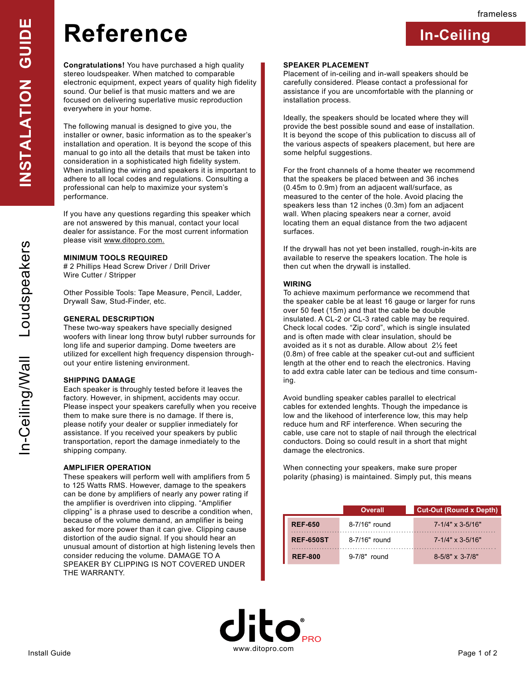**In-Ceiling**

# **Reference**

**Congratulations!** You have purchased a high quality stereo loudspeaker. When matched to comparable electronic equipment, expect years of quality high fidelity sound. Our belief is that music matters and we are focused on delivering superlative music reproduction everywhere in your home.

The following manual is designed to give you, the installer or owner, basic information as to the speaker's installation and operation. It is beyond the scope of this manual to go into all the details that must be taken into consideration in a sophisticated high fidelity system. When installing the wiring and speakers it is important to adhere to all local codes and regulations. Consulting a professional can help to maximize your system's performance.

If you have any questions regarding this speaker which are not answered by this manual, contact your local dealer for assistance. For the most current information please visit www.ditopro.com.

#### **MINIMUM TOOLS REQUIRED**

# 2 Phillips Head Screw Driver / Drill Driver Wire Cutter / Stripper

Other Possible Tools: Tape Measure, Pencil, Ladder, Drywall Saw, Stud-Finder, etc.

#### **GENERAL DESCRIPTION**

These two-way speakers have specially designed woofers with linear long throw butyl rubber surrounds for long life and superior damping. Dome tweeters are utilized for excellent high frequency dispension throughout your entire listening environment.

#### **SHIPPING DAMAGE**

Each speaker is throughly tested before it leaves the factory. However, in shipment, accidents may occur. Please inspect your speakers carefully when you receive them to make sure there is no damage. If there is, please notify your dealer or supplier inmediately for assistance. If you received your speakers by public transportation, report the damage inmediately to the shipping company.

### **AMPLIFIER OPERATION**

These speakers will perform well with amplifiers from 5 to 125 Watts RMS. However, damage to the speakers can be done by amplifiers of nearly any power rating if the amplifier is overdriven into clipping. "Amplifier clipping" is a phrase used to describe a condition when, because of the volume demand, an amplifier is being asked for more power than it can give. Clipping cause distortion of the audio signal. If you should hear an unusual amount of distortion at high listening levels then consider reducing the volume. DAMAGE TO A SPEAKER BY CLIPPING IS NOT COVERED UNDER THE WARRANTY.

#### **SPEAKER PLACEMENT**

Placement of in-ceiling and in-wall speakers should be carefully considered. Please contact a professional for assistance if you are uncomfortable with the planning or installation process.

Ideally, the speakers should be located where they will provide the best possible sound and ease of installation. It is beyond the scope of this publication to discuss all of the various aspects of speakers placement, but here are some helpful suggestions.

For the front channels of a home theater we recommend that the speakers be placed between and 36 inches (0.45m to 0.9m) from an adjacent wall/surface, as measured to the center of the hole. Avoid placing the speakers less than 12 inches (0.3m) fom an adjacent wall. When placing speakers near a corner, avoid locating them an equal distance from the two adjacent surfaces.

If the drywall has not yet been installed, rough-in-kits are available to reserve the speakers location. The hole is then cut when the drywall is installed.

#### **WIRING**

To achieve maximum performance we recommend that the speaker cable be at least 16 gauge or larger for runs over 50 feet (15m) and that the cable be double insulated. A CL-2 or CL-3 rated cable may be required. Check local codes. "Zip cord", which is single insulated and is often made with clear insulation, should be avoided as it s not as durable. Allow about 2½ feet (0.8m) of free cable at the speaker cut-out and sufficient length at the other end to reach the electronics. Having to add extra cable later can be tedious and time consuming.

Avoid bundling speaker cables parallel to electrical cables for extended lenghts. Though the impedance is low and the likehood of interference low, this may help reduce hum and RF interference. When securing the cable, use care not to staple of nail through the electrical conductors. Doing so could result in a short that might damage the electronics.

When connecting your speakers, make sure proper polarity (phasing) is maintained. Simply put, this means

|                  | Overall         | <b>Cut-Out (Round x Depth)</b> |
|------------------|-----------------|--------------------------------|
| <b>REF-650</b>   | 8-7/16" round   | $7 - 1/4$ " x 3-5/16"          |
| <b>REF-650ST</b> | $8-7/16"$ round | $7 - 1/4$ " x 3-5/16"          |
| <b>REF-800</b>   | $9-7/8"$ round  | $8-5/8" \times 3-7/8"$         |